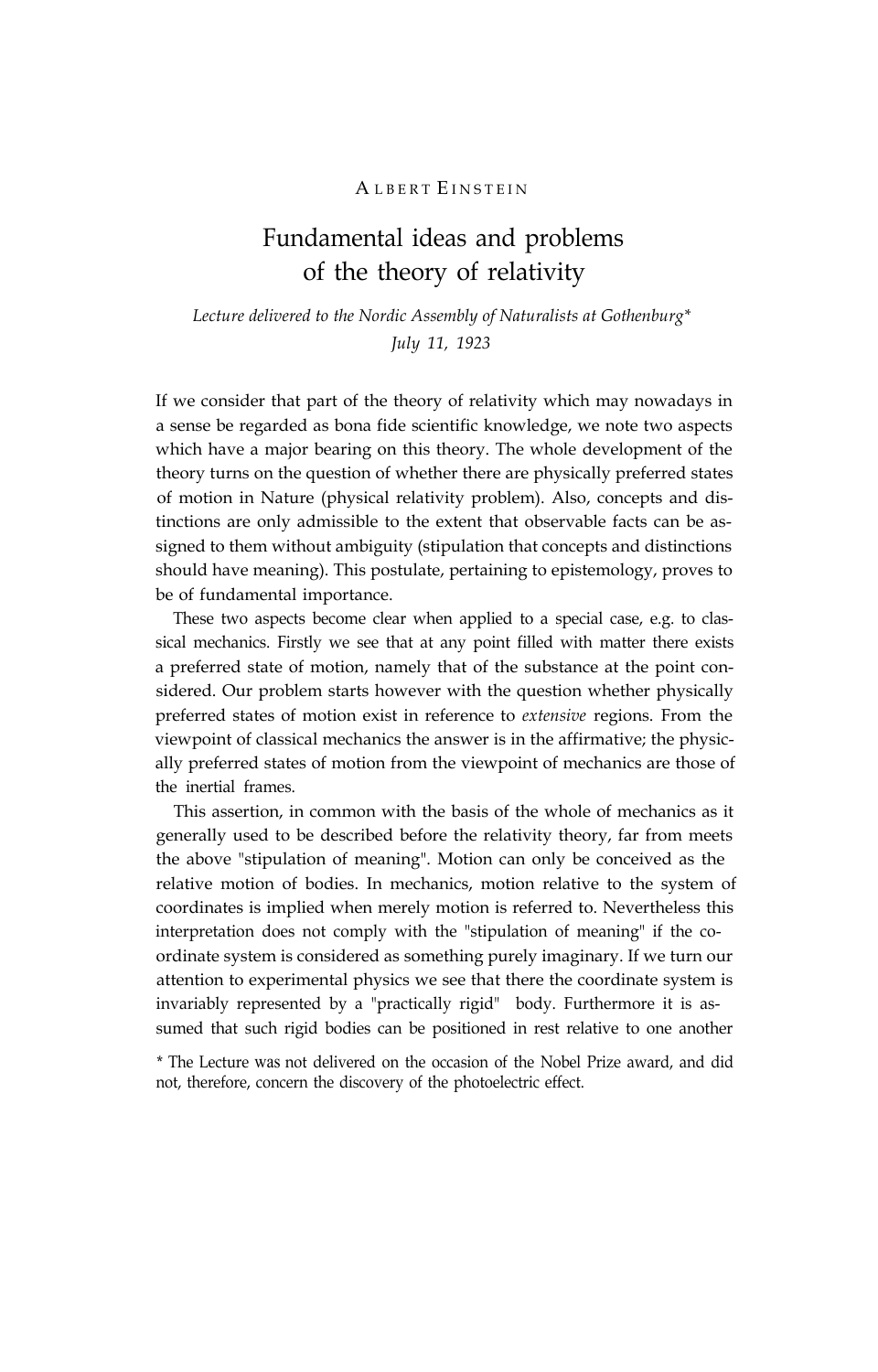# A LBERT EINSTEIN

# Fundamental ideas and problems of the theory of relativity

*Lecture delivered to the Nordic Assembly of Naturalists at Gothenburg\* July 11, 1923*

If we consider that part of the theory of relativity which may nowadays in a sense be regarded as bona fide scientific knowledge, we note two aspects which have a major bearing on this theory. The whole development of the theory turns on the question of whether there are physically preferred states of motion in Nature (physical relativity problem). Also, concepts and distinctions are only admissible to the extent that observable facts can be assigned to them without ambiguity (stipulation that concepts and distinctions should have meaning). This postulate, pertaining to epistemology, proves to be of fundamental importance.

These two aspects become clear when applied to a special case, e.g. to classical mechanics. Firstly we see that at any point filled with matter there exists a preferred state of motion, namely that of the substance at the point considered. Our problem starts however with the question whether physically preferred states of motion exist in reference to *extensive* regions. From the viewpoint of classical mechanics the answer is in the affirmative; the physically preferred states of motion from the viewpoint of mechanics are those of the inertial frames.

This assertion, in common with the basis of the whole of mechanics as it generally used to be described before the relativity theory, far from meets the above "stipulation of meaning". Motion can only be conceived as the relative motion of bodies. In mechanics, motion relative to the system of coordinates is implied when merely motion is referred to. Nevertheless this interpretation does not comply with the "stipulation of meaning" if the coordinate system is considered as something purely imaginary. If we turn our attention to experimental physics we see that there the coordinate system is invariably represented by a "practically rigid" body. Furthermore it is assumed that such rigid bodies can be positioned in rest relative to one another

\* The Lecture was not delivered on the occasion of the Nobel Prize award, and did not, therefore, concern the discovery of the photoelectric effect.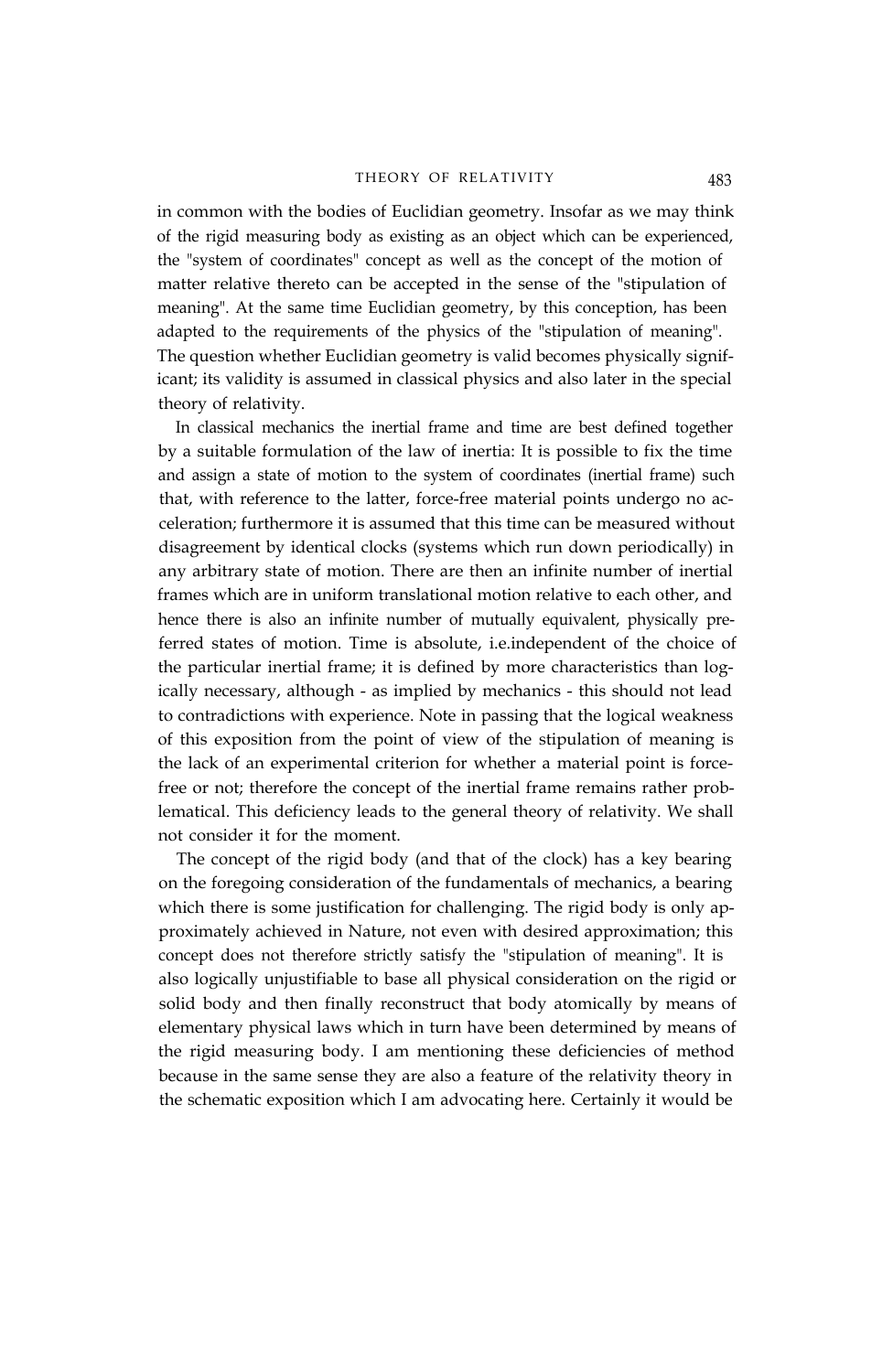#### THEORY OF RELATIVITY 483

in common with the bodies of Euclidian geometry. Insofar as we may think of the rigid measuring body as existing as an object which can be experienced, the "system of coordinates" concept as well as the concept of the motion of matter relative thereto can be accepted in the sense of the "stipulation of meaning". At the same time Euclidian geometry, by this conception, has been adapted to the requirements of the physics of the "stipulation of meaning". The question whether Euclidian geometry is valid becomes physically significant; its validity is assumed in classical physics and also later in the special theory of relativity.

In classical mechanics the inertial frame and time are best defined together by a suitable formulation of the law of inertia: It is possible to fix the time and assign a state of motion to the system of coordinates (inertial frame) such that, with reference to the latter, force-free material points undergo no acceleration; furthermore it is assumed that this time can be measured without disagreement by identical clocks (systems which run down periodically) in any arbitrary state of motion. There are then an infinite number of inertial frames which are in uniform translational motion relative to each other, and hence there is also an infinite number of mutually equivalent, physically preferred states of motion. Time is absolute, i.e.independent of the choice of the particular inertial frame; it is defined by more characteristics than logically necessary, although - as implied by mechanics - this should not lead to contradictions with experience. Note in passing that the logical weakness of this exposition from the point of view of the stipulation of meaning is the lack of an experimental criterion for whether a material point is forcefree or not; therefore the concept of the inertial frame remains rather problematical. This deficiency leads to the general theory of relativity. We shall not consider it for the moment.

The concept of the rigid body (and that of the clock) has a key bearing on the foregoing consideration of the fundamentals of mechanics, a bearing which there is some justification for challenging. The rigid body is only approximately achieved in Nature, not even with desired approximation; this concept does not therefore strictly satisfy the "stipulation of meaning". It is also logically unjustifiable to base all physical consideration on the rigid or solid body and then finally reconstruct that body atomically by means of elementary physical laws which in turn have been determined by means of the rigid measuring body. I am mentioning these deficiencies of method because in the same sense they are also a feature of the relativity theory in the schematic exposition which I am advocating here. Certainly it would be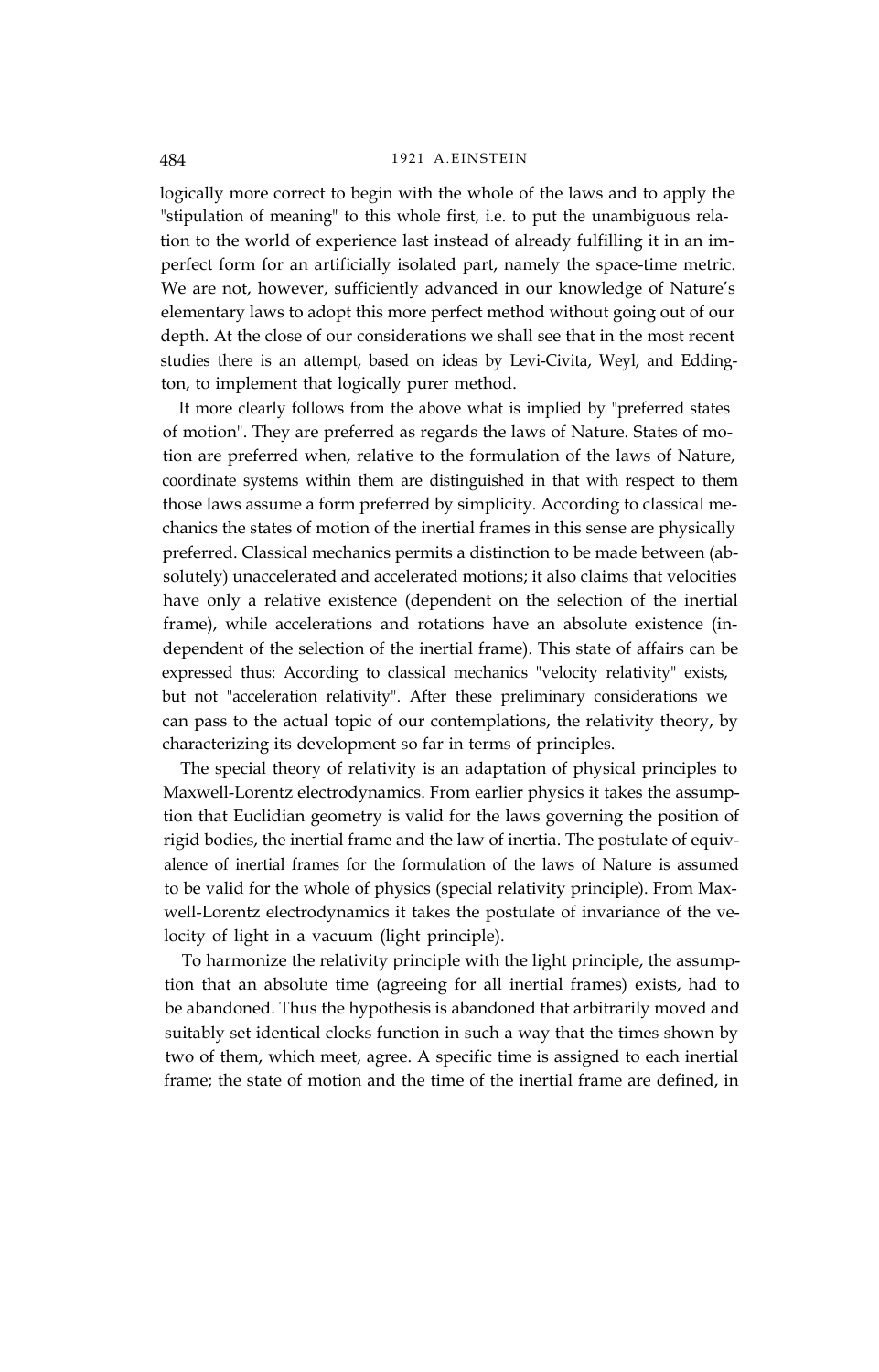logically more correct to begin with the whole of the laws and to apply the "stipulation of meaning" to this whole first, i.e. to put the unambiguous relation to the world of experience last instead of already fulfilling it in an imperfect form for an artificially isolated part, namely the space-time metric. We are not, however, sufficiently advanced in our knowledge of Nature's elementary laws to adopt this more perfect method without going out of our depth. At the close of our considerations we shall see that in the most recent studies there is an attempt, based on ideas by Levi-Civita, Weyl, and Eddington, to implement that logically purer method.

It more clearly follows from the above what is implied by "preferred states of motion". They are preferred as regards the laws of Nature. States of motion are preferred when, relative to the formulation of the laws of Nature, coordinate systems within them are distinguished in that with respect to them those laws assume a form preferred by simplicity. According to classical mechanics the states of motion of the inertial frames in this sense are physically preferred. Classical mechanics permits a distinction to be made between (absolutely) unaccelerated and accelerated motions; it also claims that velocities have only a relative existence (dependent on the selection of the inertial frame), while accelerations and rotations have an absolute existence (independent of the selection of the inertial frame). This state of affairs can be expressed thus: According to classical mechanics "velocity relativity" exists, but not "acceleration relativity". After these preliminary considerations we can pass to the actual topic of our contemplations, the relativity theory, by characterizing its development so far in terms of principles.

The special theory of relativity is an adaptation of physical principles to Maxwell-Lorentz electrodynamics. From earlier physics it takes the assumption that Euclidian geometry is valid for the laws governing the position of rigid bodies, the inertial frame and the law of inertia. The postulate of equivalence of inertial frames for the formulation of the laws of Nature is assumed to be valid for the whole of physics (special relativity principle). From Maxwell-Lorentz electrodynamics it takes the postulate of invariance of the velocity of light in a vacuum (light principle).

To harmonize the relativity principle with the light principle, the assumption that an absolute time (agreeing for all inertial frames) exists, had to be abandoned. Thus the hypothesis is abandoned that arbitrarily moved and suitably set identical clocks function in such a way that the times shown by two of them, which meet, agree. A specific time is assigned to each inertial frame; the state of motion and the time of the inertial frame are defined, in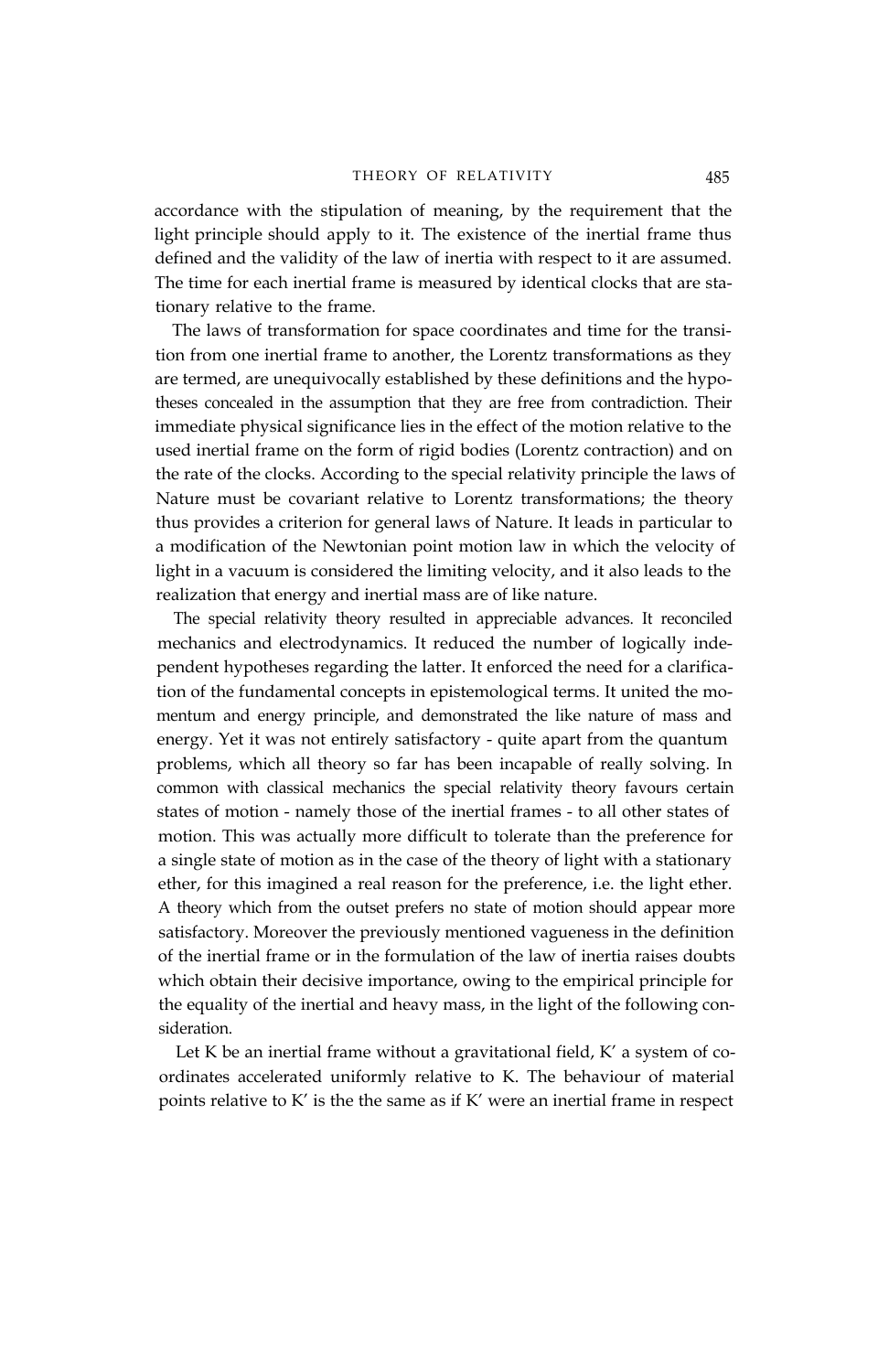accordance with the stipulation of meaning, by the requirement that the light principle should apply to it. The existence of the inertial frame thus defined and the validity of the law of inertia with respect to it are assumed. The time for each inertial frame is measured by identical clocks that are stationary relative to the frame.

The laws of transformation for space coordinates and time for the transition from one inertial frame to another, the Lorentz transformations as they are termed, are unequivocally established by these definitions and the hypotheses concealed in the assumption that they are free from contradiction. Their immediate physical significance lies in the effect of the motion relative to the used inertial frame on the form of rigid bodies (Lorentz contraction) and on the rate of the clocks. According to the special relativity principle the laws of Nature must be covariant relative to Lorentz transformations; the theory thus provides a criterion for general laws of Nature. It leads in particular to a modification of the Newtonian point motion law in which the velocity of light in a vacuum is considered the limiting velocity, and it also leads to the realization that energy and inertial mass are of like nature.

The special relativity theory resulted in appreciable advances. It reconciled mechanics and electrodynamics. It reduced the number of logically independent hypotheses regarding the latter. It enforced the need for a clarification of the fundamental concepts in epistemological terms. It united the momentum and energy principle, and demonstrated the like nature of mass and energy. Yet it was not entirely satisfactory - quite apart from the quantum problems, which all theory so far has been incapable of really solving. In common with classical mechanics the special relativity theory favours certain states of motion - namely those of the inertial frames - to all other states of motion. This was actually more difficult to tolerate than the preference for a single state of motion as in the case of the theory of light with a stationary ether, for this imagined a real reason for the preference, i.e. the light ether. A theory which from the outset prefers no state of motion should appear more satisfactory. Moreover the previously mentioned vagueness in the definition of the inertial frame or in the formulation of the law of inertia raises doubts which obtain their decisive importance, owing to the empirical principle for the equality of the inertial and heavy mass, in the light of the following consideration.

Let K be an inertial frame without a gravitational field, K' a system of coordinates accelerated uniformly relative to K. The behaviour of material points relative to K' is the the same as if K' were an inertial frame in respect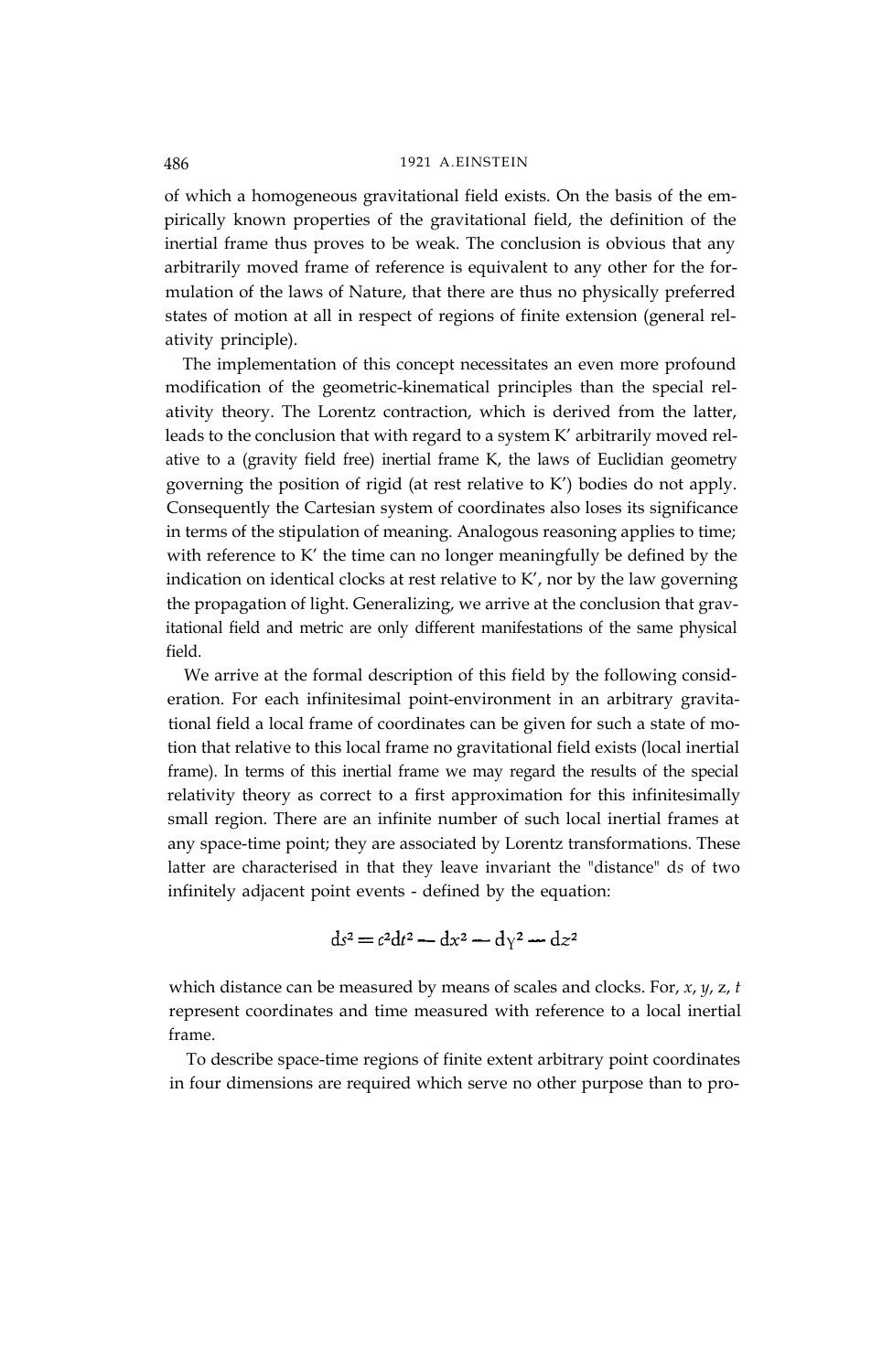of which a homogeneous gravitational field exists. On the basis of the empirically known properties of the gravitational field, the definition of the inertial frame thus proves to be weak. The conclusion is obvious that any arbitrarily moved frame of reference is equivalent to any other for the formulation of the laws of Nature, that there are thus no physically preferred states of motion at all in respect of regions of finite extension (general relativity principle).

The implementation of this concept necessitates an even more profound modification of the geometric-kinematical principles than the special relativity theory. The Lorentz contraction, which is derived from the latter, leads to the conclusion that with regard to a system K' arbitrarily moved relative to a (gravity field free) inertial frame K, the laws of Euclidian geometry governing the position of rigid (at rest relative to K') bodies do not apply. Consequently the Cartesian system of coordinates also loses its significance in terms of the stipulation of meaning. Analogous reasoning applies to time; with reference to K' the time can no longer meaningfully be defined by the indication on identical clocks at rest relative to K', nor by the law governing the propagation of light. Generalizing, we arrive at the conclusion that gravitational field and metric are only different manifestations of the same physical field.

We arrive at the formal description of this field by the following consideration. For each infinitesimal point-environment in an arbitrary gravitational field a local frame of coordinates can be given for such a state of motion that relative to this local frame no gravitational field exists (local inertial frame). In terms of this inertial frame we may regard the results of the special relativity theory as correct to a first approximation for this infinitesimally small region. There are an infinite number of such local inertial frames at any space-time point; they are associated by Lorentz transformations. These latter are characterised in that they leave invariant the "distance" d*s* of two infinitely adjacent point events - defined by the equation:

$$
ds^2 = c^2 dt^2 - dx^2 - dy^2 - dz^2
$$

which distance can be measured by means of scales and clocks. For, *x*, *y*, z, *t* represent coordinates and time measured with reference to a local inertial frame.

To describe space-time regions of finite extent arbitrary point coordinates in four dimensions are required which serve no other purpose than to pro-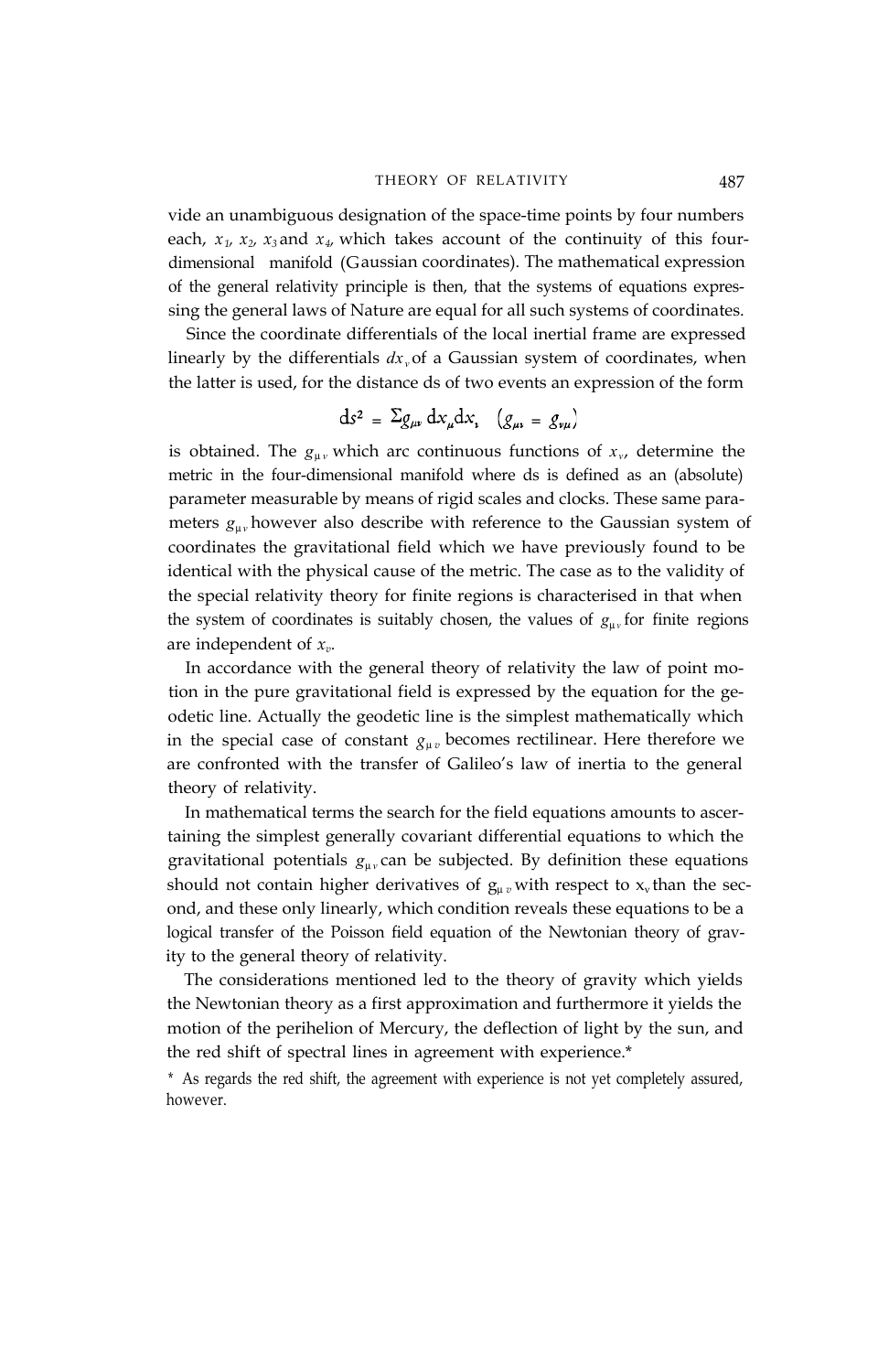vide an unambiguous designation of the space-time points by four numbers each,  $x_1$ ,  $x_2$ ,  $x_3$  and  $x_4$ , which takes account of the continuity of this fourdimensional manifold (Gaussian coordinates). The mathematical expression of the general relativity principle is then, that the systems of equations expressing the general laws of Nature are equal for all such systems of coordinates.

Since the coordinate differentials of the local inertial frame are expressed linearly by the differentials  $dx<sub>v</sub>$  of a Gaussian system of coordinates, when the latter is used, for the distance ds of two events an expression of the form

$$
ds^2 = \Sigma g_{\mu\nu} dx_{\mu} dx_{\nu} \quad (g_{\mu\nu} = g_{\nu\mu})
$$

is obtained. The  $g_y$  which arc continuous functions of  $x_y$ , determine the metric in the four-dimensional manifold where ds is defined as an (absolute) parameter measurable by means of rigid scales and clocks. These same parameters g vhowever also describe with reference to the Gaussian system of coordinates the gravitational field which we have previously found to be identical with the physical cause of the metric. The case as to the validity of the special relativity theory for finite regions is characterised in that when the system of coordinates is suitably chosen, the values of  $g$ , for finite regions are independent of  $x_n$ .

In accordance with the general theory of relativity the law of point motion in the pure gravitational field is expressed by the equation for the geodetic line. Actually the geodetic line is the simplest mathematically which in the special case of constant  $g_y$  becomes rectilinear. Here therefore we are confronted with the transfer of Galileo's law of inertia to the general theory of relativity.

In mathematical terms the search for the field equations amounts to ascertaining the simplest generally covariant differential equations to which the gravitational potentials  $g_y$  can be subjected. By definition these equations should not contain higher derivatives of  $g_v$  with respect to  $x_v$  than the second, and these only linearly, which condition reveals these equations to be a logical transfer of the Poisson field equation of the Newtonian theory of gravity to the general theory of relativity.

The considerations mentioned led to the theory of gravity which yields the Newtonian theory as a first approximation and furthermore it yields the motion of the perihelion of Mercury, the deflection of light by the sun, and the red shift of spectral lines in agreement with experience.\*

\* As regards the red shift, the agreement with experience is not yet completely assured, however.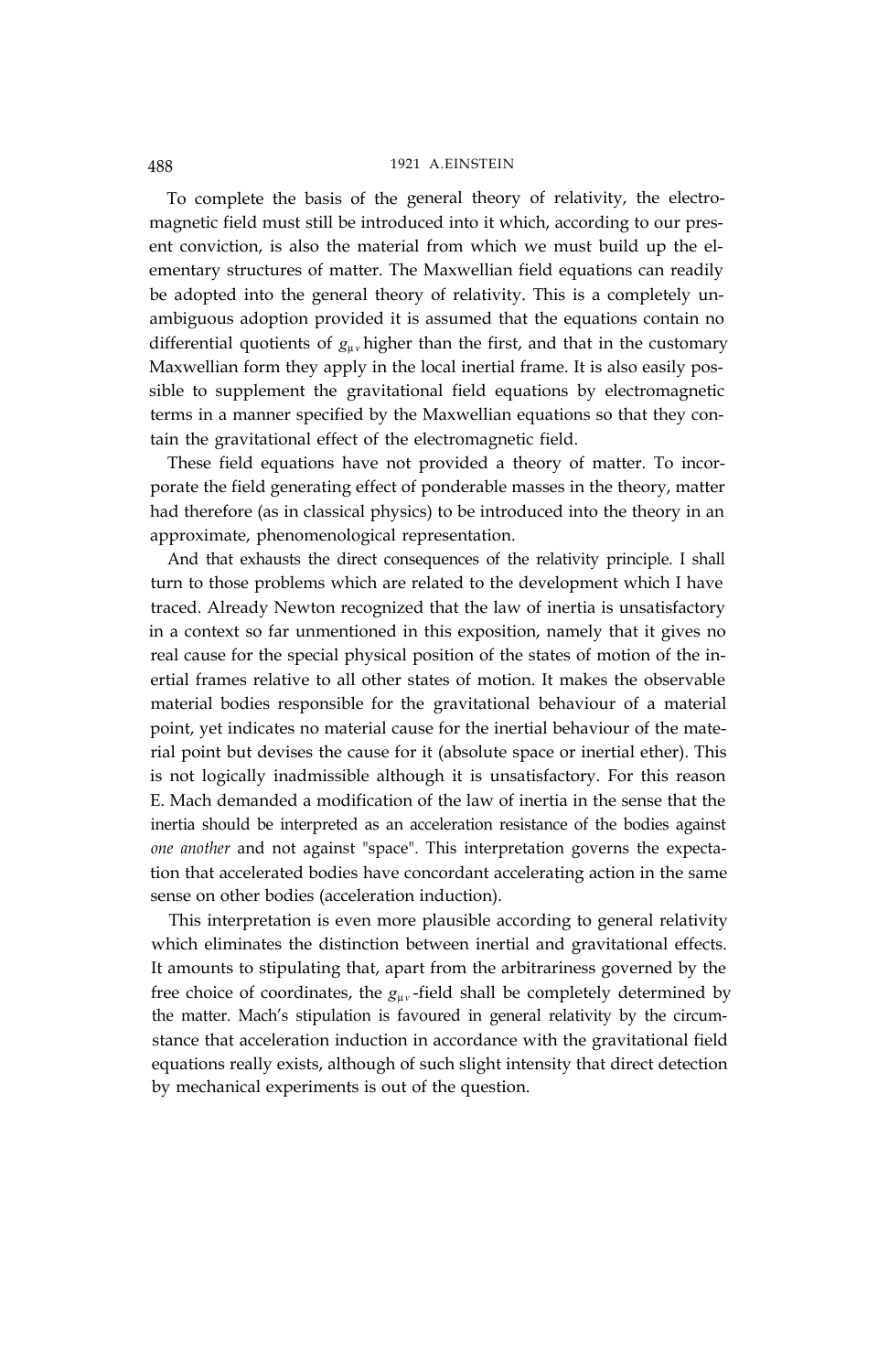To complete the basis of the general theory of relativity, the electromagnetic field must still be introduced into it which, according to our present conviction, is also the material from which we must build up the elementary structures of matter. The Maxwellian field equations can readily be adopted into the general theory of relativity. This is a completely unambiguous adoption provided it is assumed that the equations contain no differential quotients of  $g_y$  higher than the first, and that in the customary Maxwellian form they apply in the local inertial frame. It is also easily possible to supplement the gravitational field equations by electromagnetic terms in a manner specified by the Maxwellian equations so that they contain the gravitational effect of the electromagnetic field.

These field equations have not provided a theory of matter. To incorporate the field generating effect of ponderable masses in the theory, matter had therefore (as in classical physics) to be introduced into the theory in an approximate, phenomenological representation.

And that exhausts the direct consequences of the relativity principle. I shall turn to those problems which are related to the development which I have traced. Already Newton recognized that the law of inertia is unsatisfactory in a context so far unmentioned in this exposition, namely that it gives no real cause for the special physical position of the states of motion of the inertial frames relative to all other states of motion. It makes the observable material bodies responsible for the gravitational behaviour of a material point, yet indicates no material cause for the inertial behaviour of the material point but devises the cause for it (absolute space or inertial ether). This is not logically inadmissible although it is unsatisfactory. For this reason E. Mach demanded a modification of the law of inertia in the sense that the inertia should be interpreted as an acceleration resistance of the bodies against *one another* and not against "space". This interpretation governs the expectation that accelerated bodies have concordant accelerating action in the same sense on other bodies (acceleration induction).

This interpretation is even more plausible according to general relativity which eliminates the distinction between inertial and gravitational effects. It amounts to stipulating that, apart from the arbitrariness governed by the free choice of coordinates, the  $g_y$ -field shall be completely determined by the matter. Mach's stipulation is favoured in general relativity by the circumstance that acceleration induction in accordance with the gravitational field equations really exists, although of such slight intensity that direct detection by mechanical experiments is out of the question.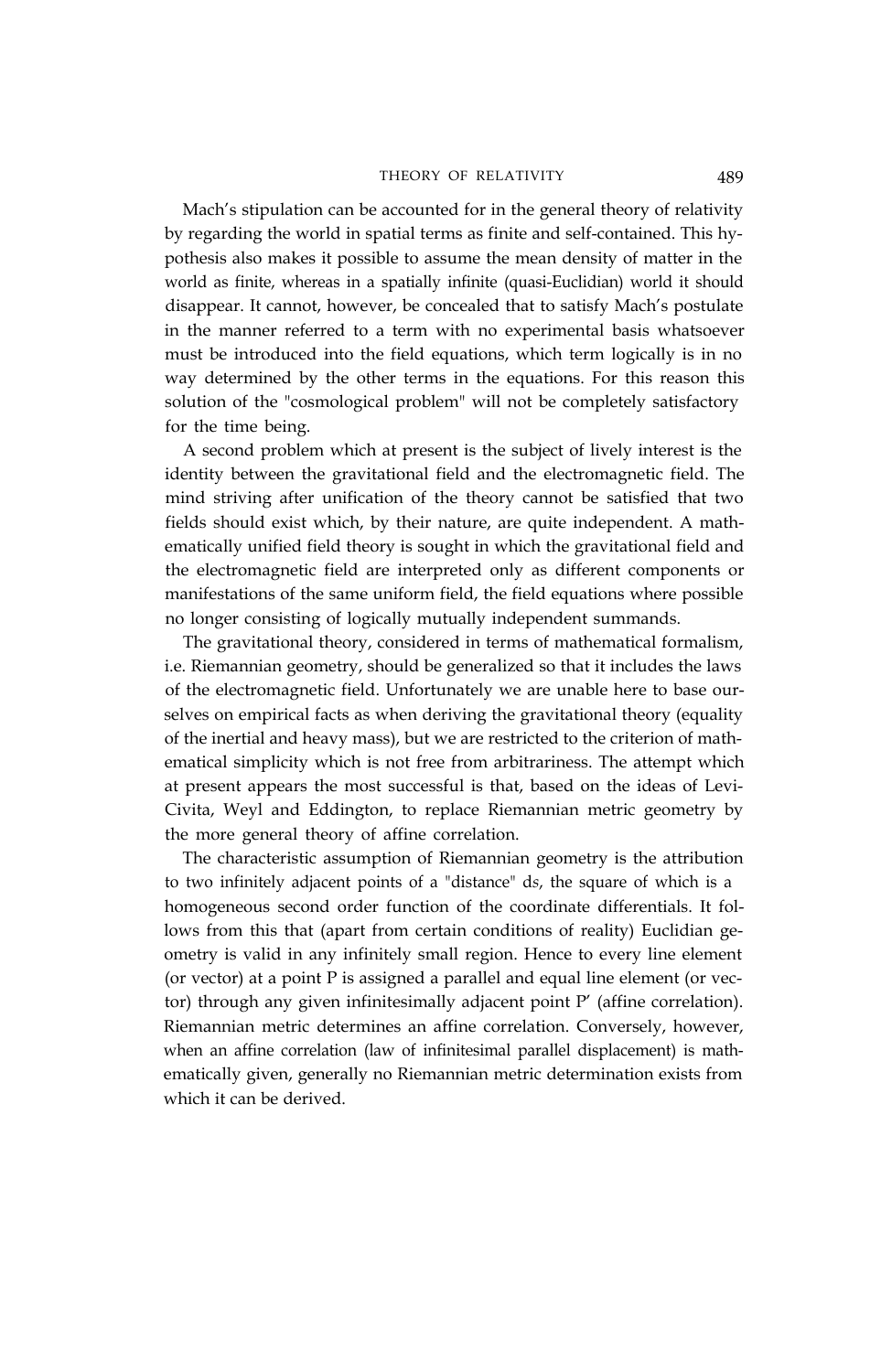# THEORY OF RELATIVITY 489

Mach's stipulation can be accounted for in the general theory of relativity by regarding the world in spatial terms as finite and self-contained. This hypothesis also makes it possible to assume the mean density of matter in the world as finite, whereas in a spatially infinite (quasi-Euclidian) world it should disappear. It cannot, however, be concealed that to satisfy Mach's postulate in the manner referred to a term with no experimental basis whatsoever must be introduced into the field equations, which term logically is in no way determined by the other terms in the equations. For this reason this solution of the "cosmological problem" will not be completely satisfactory for the time being.

A second problem which at present is the subject of lively interest is the identity between the gravitational field and the electromagnetic field. The mind striving after unification of the theory cannot be satisfied that two fields should exist which, by their nature, are quite independent. A mathematically unified field theory is sought in which the gravitational field and the electromagnetic field are interpreted only as different components or manifestations of the same uniform field, the field equations where possible no longer consisting of logically mutually independent summands.

The gravitational theory, considered in terms of mathematical formalism, i.e. Riemannian geometry, should be generalized so that it includes the laws of the electromagnetic field. Unfortunately we are unable here to base ourselves on empirical facts as when deriving the gravitational theory (equality of the inertial and heavy mass), but we are restricted to the criterion of mathematical simplicity which is not free from arbitrariness. The attempt which at present appears the most successful is that, based on the ideas of Levi-Civita, Weyl and Eddington, to replace Riemannian metric geometry by the more general theory of affine correlation.

The characteristic assumption of Riemannian geometry is the attribution to two infinitely adjacent points of a "distance" d*s*, the square of which is a homogeneous second order function of the coordinate differentials. It follows from this that (apart from certain conditions of reality) Euclidian geometry is valid in any infinitely small region. Hence to every line element (or vector) at a point P is assigned a parallel and equal line element (or vector) through any given infinitesimally adjacent point P' (affine correlation). Riemannian metric determines an affine correlation. Conversely, however, when an affine correlation (law of infinitesimal parallel displacement) is mathematically given, generally no Riemannian metric determination exists from which it can be derived.